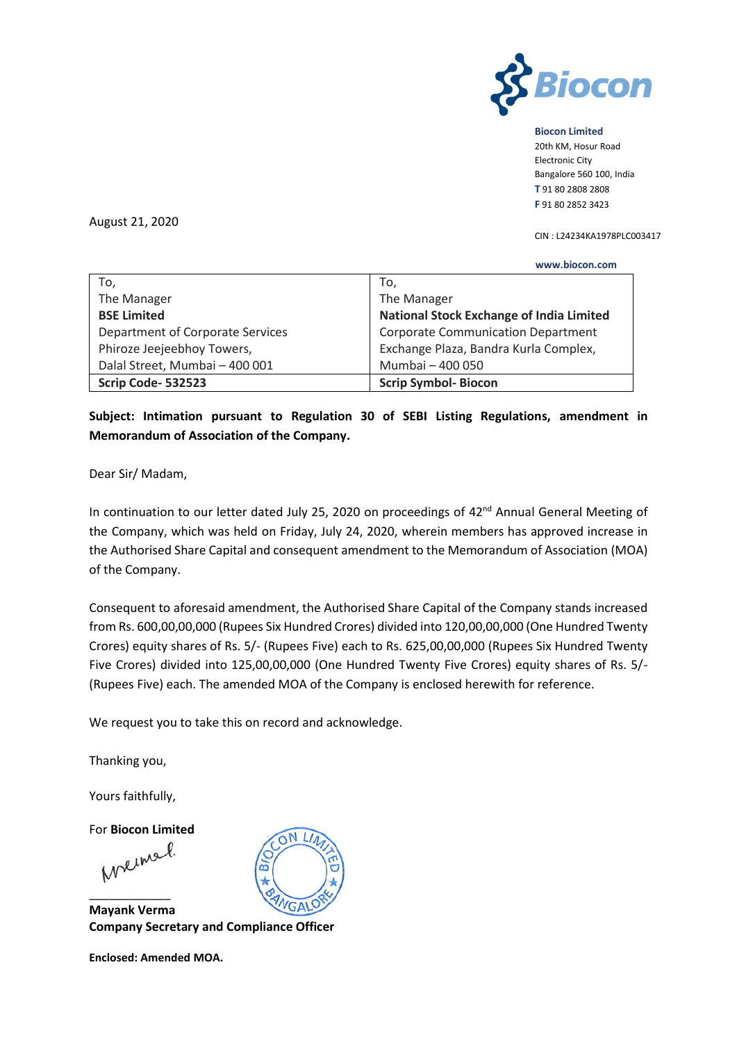

**Biocon Limited**

20th KM, Hosur Road Electronic City Bangalore 560 100, India **T** 91 80 2808 2808 **F** 91 80 2852 3423

August 21, 2020

 **www.biocon.com** 

CIN : L24234KA1978PLC003417

| To,                              | To,                                             |  |
|----------------------------------|-------------------------------------------------|--|
| The Manager                      | The Manager                                     |  |
| <b>BSE Limited</b>               | <b>National Stock Exchange of India Limited</b> |  |
| Department of Corporate Services | <b>Corporate Communication Department</b>       |  |
| Phiroze Jeejeebhoy Towers,       | Exchange Plaza, Bandra Kurla Complex,           |  |
| Dalal Street, Mumbai - 400 001   | Mumbai - 400 050                                |  |
| Scrip Code-532523                | <b>Scrip Symbol-Biocon</b>                      |  |

**Subject: Intimation pursuant to Regulation 30 of SEBI Listing Regulations, amendment in Memorandum of Association of the Company.**

Dear Sir/ Madam,

In continuation to our letter dated July 25, 2020 on proceedings of 42<sup>nd</sup> Annual General Meeting of the Company, which was held on Friday, July 24, 2020, wherein members has approved increase in the Authorised Share Capital and consequent amendment to the Memorandum of Association (MOA) of the Company.

Consequent to aforesaid amendment, the Authorised Share Capital of the Company stands increased from Rs. 600,00,00,000 (Rupees Six Hundred Crores) divided into 120,00,00,000 (One Hundred Twenty Crores) equity shares of Rs. 5/- (Rupees Five) each to Rs. 625,00,00,000 (Rupees Six Hundred Twenty Five Crores) divided into 125,00,00,000 (One Hundred Twenty Five Crores) equity shares of Rs. 5/- (Rupees Five) each. The amended MOA of the Company is enclosed herewith for reference.

We request you to take this on record and acknowledge.

Thanking you,

Yours faithfully,

For **Biocon Limited**

\_\_\_\_\_\_\_\_\_\_\_\_ **Mayank Verma Company Secretary and Compliance Officer** 

**Enclosed: Amended MOA.**

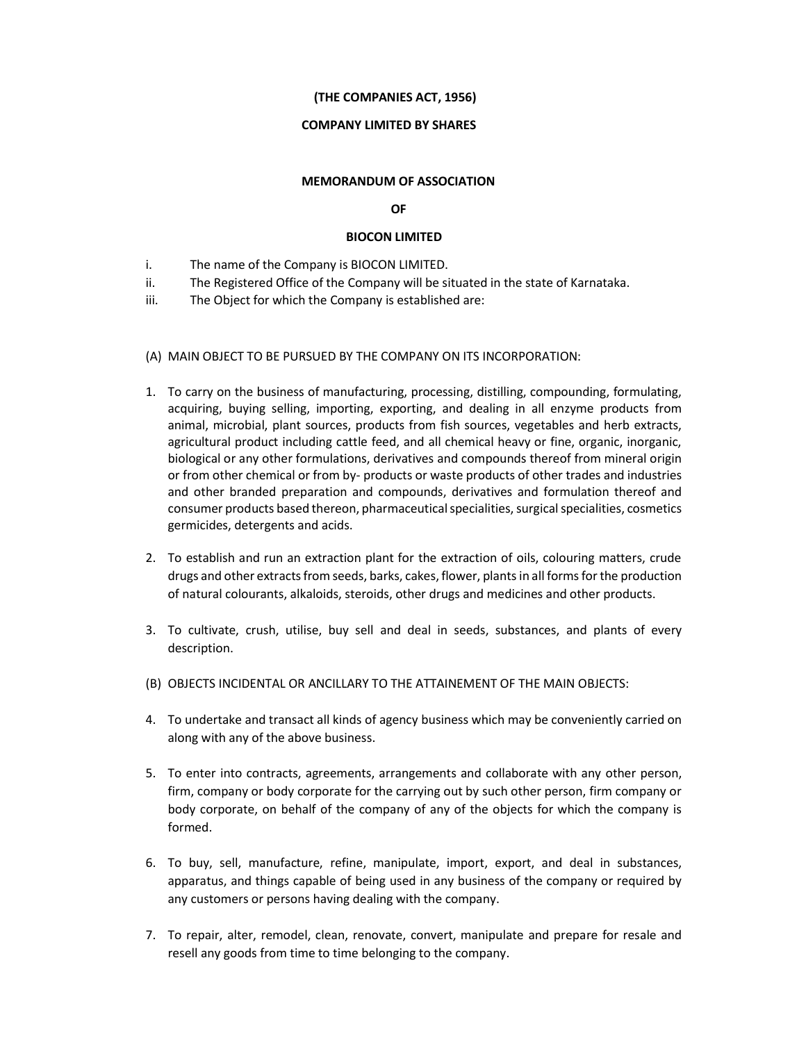# (THE COMPANIES ACT, 1956)

## COMPANY LIMITED BY SHARES

#### MEMORANDUM OF ASSOCIATION

### OF

### BIOCON LIMITED

- i. The name of the Company is BIOCON LIMITED.
- ii. The Registered Office of the Company will be situated in the state of Karnataka.
- iii. The Object for which the Company is established are:

#### (A) MAIN OBJECT TO BE PURSUED BY THE COMPANY ON ITS INCORPORATION:

- 1. To carry on the business of manufacturing, processing, distilling, compounding, formulating, acquiring, buying selling, importing, exporting, and dealing in all enzyme products from animal, microbial, plant sources, products from fish sources, vegetables and herb extracts, agricultural product including cattle feed, and all chemical heavy or fine, organic, inorganic, biological or any other formulations, derivatives and compounds thereof from mineral origin or from other chemical or from by- products or waste products of other trades and industries and other branded preparation and compounds, derivatives and formulation thereof and consumer products based thereon, pharmaceutical specialities, surgical specialities, cosmetics germicides, detergents and acids.
- 2. To establish and run an extraction plant for the extraction of oils, colouring matters, crude drugs and other extracts from seeds, barks, cakes, flower, plants in all forms for the production of natural colourants, alkaloids, steroids, other drugs and medicines and other products.
- 3. To cultivate, crush, utilise, buy sell and deal in seeds, substances, and plants of every description.
- (B) OBJECTS INCIDENTAL OR ANCILLARY TO THE ATTAINEMENT OF THE MAIN OBJECTS:
- 4. To undertake and transact all kinds of agency business which may be conveniently carried on along with any of the above business.
- 5. To enter into contracts, agreements, arrangements and collaborate with any other person, firm, company or body corporate for the carrying out by such other person, firm company or body corporate, on behalf of the company of any of the objects for which the company is formed.
- 6. To buy, sell, manufacture, refine, manipulate, import, export, and deal in substances, apparatus, and things capable of being used in any business of the company or required by any customers or persons having dealing with the company.
- 7. To repair, alter, remodel, clean, renovate, convert, manipulate and prepare for resale and resell any goods from time to time belonging to the company.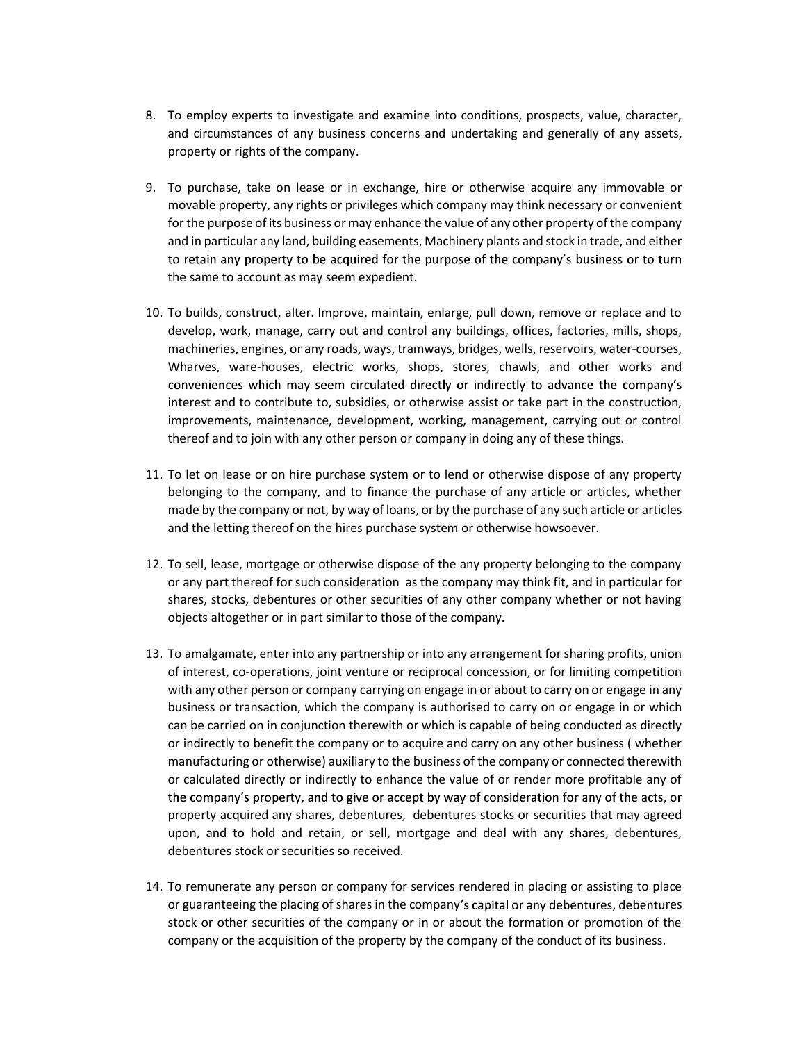- 8. To employ experts to investigate and examine into conditions, prospects, value, character, and circumstances of any business concerns and undertaking and generally of any assets, property or rights of the company.
- 9. To purchase, take on lease or in exchange, hire or otherwise acquire any immovable or movable property, any rights or privileges which company may think necessary or convenient for the purpose of its business or may enhance the value of any other property of the company and in particular any land, building easements, Machinery plants and stock in trade, and either to retain any property to be acquired for the purpose of the company's business or to turn the same to account as may seem expedient.
- 10. To builds, construct, alter. Improve, maintain, enlarge, pull down, remove or replace and to develop, work, manage, carry out and control any buildings, offices, factories, mills, shops, machineries, engines, or any roads, ways, tramways, bridges, wells, reservoirs, water-courses, Wharves, ware-houses, electric works, shops, stores, chawls, and other works and conveniences which may seem circulated directly or indirectly to advance the company's interest and to contribute to, subsidies, or otherwise assist or take part in the construction, improvements, maintenance, development, working, management, carrying out or control thereof and to join with any other person or company in doing any of these things.
- 11. To let on lease or on hire purchase system or to lend or otherwise dispose of any property belonging to the company, and to finance the purchase of any article or articles, whether made by the company or not, by way of loans, or by the purchase of any such article or articles and the letting thereof on the hires purchase system or otherwise howsoever.
- 12. To sell, lease, mortgage or otherwise dispose of the any property belonging to the company or any part thereof for such consideration as the company may think fit, and in particular for shares, stocks, debentures or other securities of any other company whether or not having objects altogether or in part similar to those of the company.
- 13. To amalgamate, enter into any partnership or into any arrangement for sharing profits, union of interest, co-operations, joint venture or reciprocal concession, or for limiting competition with any other person or company carrying on engage in or about to carry on or engage in any business or transaction, which the company is authorised to carry on or engage in or which can be carried on in conjunction therewith or which is capable of being conducted as directly or indirectly to benefit the company or to acquire and carry on any other business ( whether manufacturing or otherwise) auxiliary to the business of the company or connected therewith or calculated directly or indirectly to enhance the value of or render more profitable any of the company's property, and to give or accept by way of consideration for any of the acts, or property acquired any shares, debentures, debentures stocks or securities that may agreed upon, and to hold and retain, or sell, mortgage and deal with any shares, debentures, debentures stock or securities so received.
- 14. To remunerate any person or company for services rendered in placing or assisting to place or guaranteeing the placing of shares in the company's capital or any debentures, debentures stock or other securities of the company or in or about the formation or promotion of the company or the acquisition of the property by the company of the conduct of its business.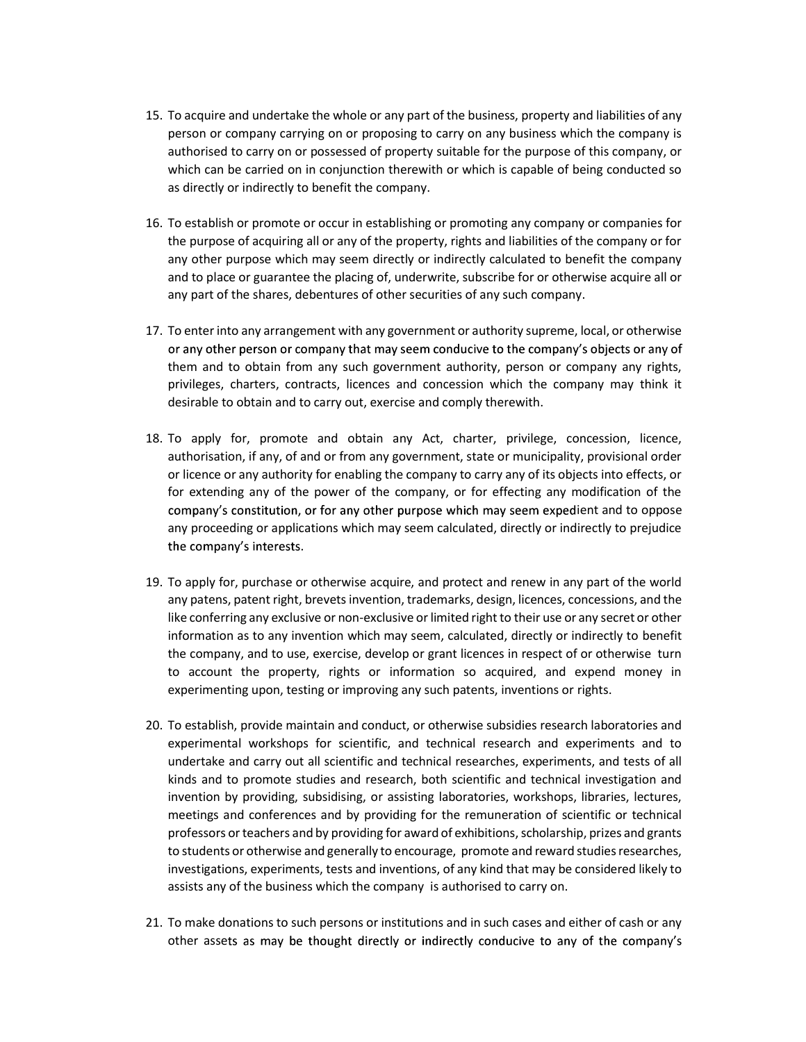- 15. To acquire and undertake the whole or any part of the business, property and liabilities of any person or company carrying on or proposing to carry on any business which the company is authorised to carry on or possessed of property suitable for the purpose of this company, or which can be carried on in conjunction therewith or which is capable of being conducted so as directly or indirectly to benefit the company.
- 16. To establish or promote or occur in establishing or promoting any company or companies for the purpose of acquiring all or any of the property, rights and liabilities of the company or for any other purpose which may seem directly or indirectly calculated to benefit the company and to place or guarantee the placing of, underwrite, subscribe for or otherwise acquire all or any part of the shares, debentures of other securities of any such company.
- 17. To enter into any arrangement with any government or authority supreme, local, or otherwise or any other person or company that may seem conducive to the company's objects or any of them and to obtain from any such government authority, person or company any rights, privileges, charters, contracts, licences and concession which the company may think it desirable to obtain and to carry out, exercise and comply therewith.
- 18. To apply for, promote and obtain any Act, charter, privilege, concession, licence, authorisation, if any, of and or from any government, state or municipality, provisional order or licence or any authority for enabling the company to carry any of its objects into effects, or for extending any of the power of the company, or for effecting any modification of the company's constitution, or for any other purpose which may seem expedient and to oppose any proceeding or applications which may seem calculated, directly or indirectly to prejudice the company's interests.
- 19. To apply for, purchase or otherwise acquire, and protect and renew in any part of the world any patens, patent right, brevets invention, trademarks, design, licences, concessions, and the like conferring any exclusive or non-exclusive or limited right to their use or any secret or other information as to any invention which may seem, calculated, directly or indirectly to benefit the company, and to use, exercise, develop or grant licences in respect of or otherwise turn to account the property, rights or information so acquired, and expend money in experimenting upon, testing or improving any such patents, inventions or rights.
- 20. To establish, provide maintain and conduct, or otherwise subsidies research laboratories and experimental workshops for scientific, and technical research and experiments and to undertake and carry out all scientific and technical researches, experiments, and tests of all kinds and to promote studies and research, both scientific and technical investigation and invention by providing, subsidising, or assisting laboratories, workshops, libraries, lectures, meetings and conferences and by providing for the remuneration of scientific or technical professors or teachers and by providing for award of exhibitions, scholarship, prizes and grants to students or otherwise and generally to encourage, promote and reward studies researches, investigations, experiments, tests and inventions, of any kind that may be considered likely to assists any of the business which the company is authorised to carry on.
- 21. To make donations to such persons or institutions and in such cases and either of cash or any other assets as may be thought directly or indirectly conducive to any of the company's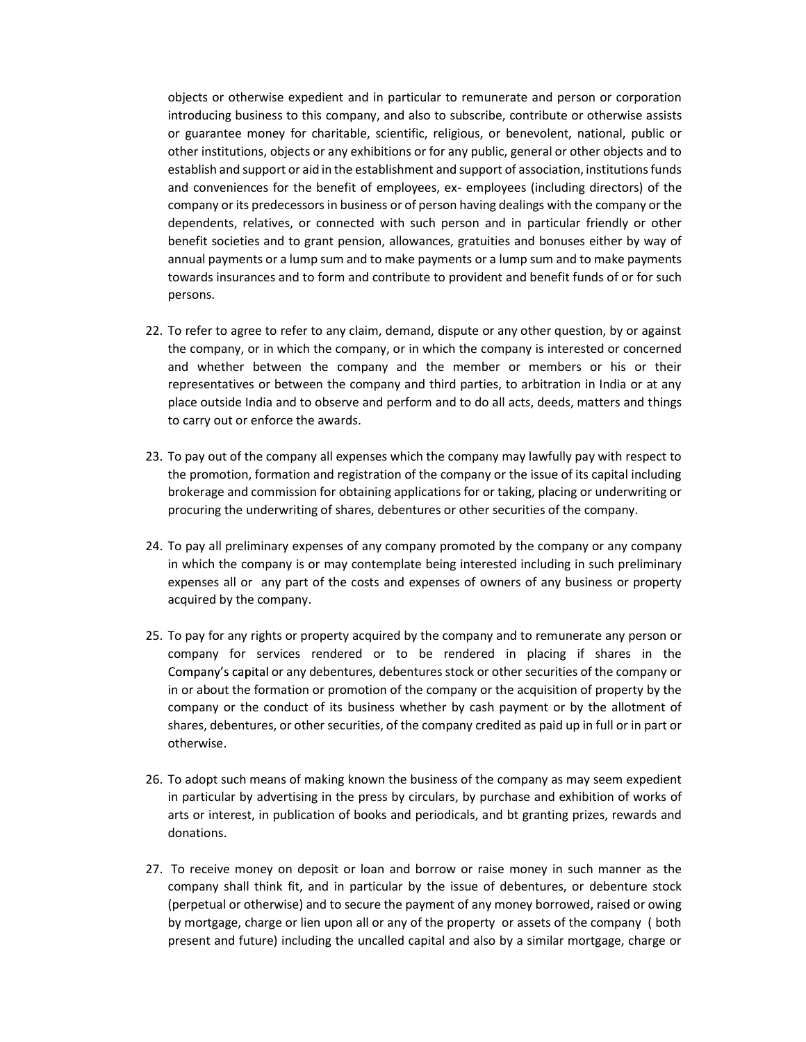objects or otherwise expedient and in particular to remunerate and person or corporation introducing business to this company, and also to subscribe, contribute or otherwise assists or guarantee money for charitable, scientific, religious, or benevolent, national, public or other institutions, objects or any exhibitions or for any public, general or other objects and to establish and support or aid in the establishment and support of association, institutions funds and conveniences for the benefit of employees, ex- employees (including directors) of the company or its predecessors in business or of person having dealings with the company or the dependents, relatives, or connected with such person and in particular friendly or other benefit societies and to grant pension, allowances, gratuities and bonuses either by way of annual payments or a lump sum and to make payments or a lump sum and to make payments towards insurances and to form and contribute to provident and benefit funds of or for such persons.

- 22. To refer to agree to refer to any claim, demand, dispute or any other question, by or against the company, or in which the company, or in which the company is interested or concerned and whether between the company and the member or members or his or their representatives or between the company and third parties, to arbitration in India or at any place outside India and to observe and perform and to do all acts, deeds, matters and things to carry out or enforce the awards.
- 23. To pay out of the company all expenses which the company may lawfully pay with respect to the promotion, formation and registration of the company or the issue of its capital including brokerage and commission for obtaining applications for or taking, placing or underwriting or procuring the underwriting of shares, debentures or other securities of the company.
- 24. To pay all preliminary expenses of any company promoted by the company or any company in which the company is or may contemplate being interested including in such preliminary expenses all or any part of the costs and expenses of owners of any business or property acquired by the company.
- 25. To pay for any rights or property acquired by the company and to remunerate any person or company for services rendered or to be rendered in placing if shares in the Company's capital or any debentures, debentures stock or other securities of the company or in or about the formation or promotion of the company or the acquisition of property by the company or the conduct of its business whether by cash payment or by the allotment of shares, debentures, or other securities, of the company credited as paid up in full or in part or otherwise.
- 26. To adopt such means of making known the business of the company as may seem expedient in particular by advertising in the press by circulars, by purchase and exhibition of works of arts or interest, in publication of books and periodicals, and bt granting prizes, rewards and donations.
- 27. To receive money on deposit or loan and borrow or raise money in such manner as the company shall think fit, and in particular by the issue of debentures, or debenture stock (perpetual or otherwise) and to secure the payment of any money borrowed, raised or owing by mortgage, charge or lien upon all or any of the property or assets of the company ( both present and future) including the uncalled capital and also by a similar mortgage, charge or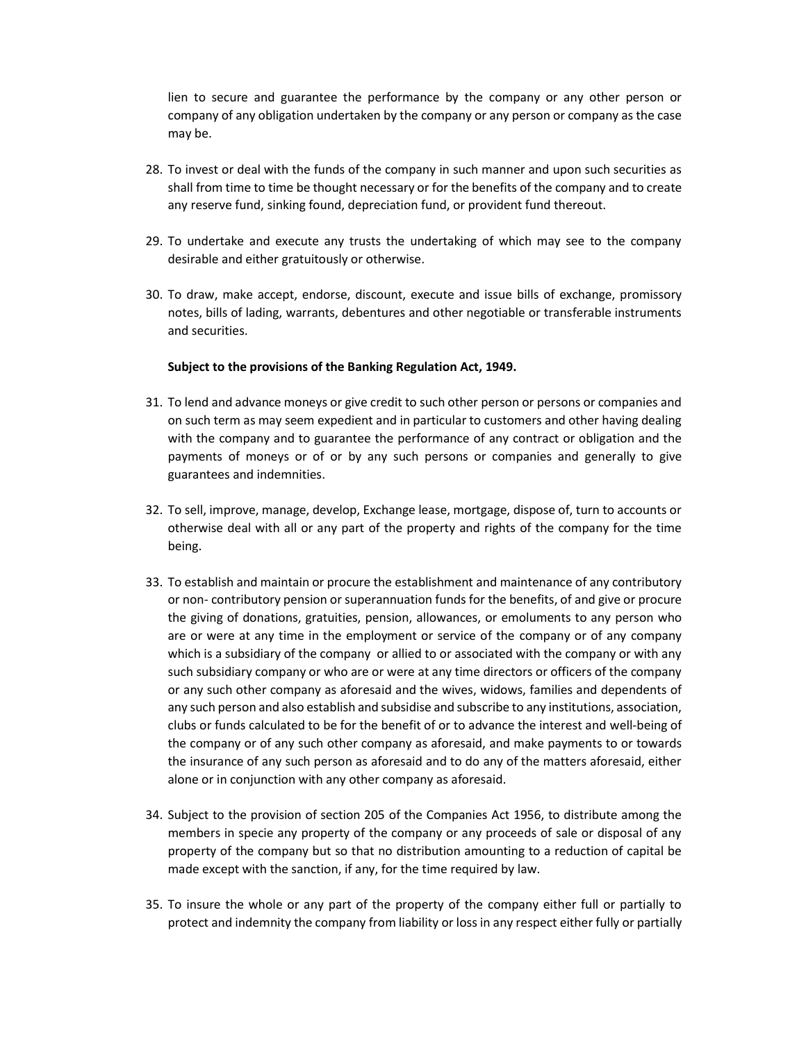lien to secure and guarantee the performance by the company or any other person or company of any obligation undertaken by the company or any person or company as the case may be.

- 28. To invest or deal with the funds of the company in such manner and upon such securities as shall from time to time be thought necessary or for the benefits of the company and to create any reserve fund, sinking found, depreciation fund, or provident fund thereout.
- 29. To undertake and execute any trusts the undertaking of which may see to the company desirable and either gratuitously or otherwise.
- 30. To draw, make accept, endorse, discount, execute and issue bills of exchange, promissory notes, bills of lading, warrants, debentures and other negotiable or transferable instruments and securities.

### Subject to the provisions of the Banking Regulation Act, 1949.

- 31. To lend and advance moneys or give credit to such other person or persons or companies and on such term as may seem expedient and in particular to customers and other having dealing with the company and to guarantee the performance of any contract or obligation and the payments of moneys or of or by any such persons or companies and generally to give guarantees and indemnities.
- 32. To sell, improve, manage, develop, Exchange lease, mortgage, dispose of, turn to accounts or otherwise deal with all or any part of the property and rights of the company for the time being.
- 33. To establish and maintain or procure the establishment and maintenance of any contributory or non- contributory pension or superannuation funds for the benefits, of and give or procure the giving of donations, gratuities, pension, allowances, or emoluments to any person who are or were at any time in the employment or service of the company or of any company which is a subsidiary of the company or allied to or associated with the company or with any such subsidiary company or who are or were at any time directors or officers of the company or any such other company as aforesaid and the wives, widows, families and dependents of any such person and also establish and subsidise and subscribe to any institutions, association, clubs or funds calculated to be for the benefit of or to advance the interest and well-being of the company or of any such other company as aforesaid, and make payments to or towards the insurance of any such person as aforesaid and to do any of the matters aforesaid, either alone or in conjunction with any other company as aforesaid.
- 34. Subject to the provision of section 205 of the Companies Act 1956, to distribute among the members in specie any property of the company or any proceeds of sale or disposal of any property of the company but so that no distribution amounting to a reduction of capital be made except with the sanction, if any, for the time required by law.
- 35. To insure the whole or any part of the property of the company either full or partially to protect and indemnity the company from liability or loss in any respect either fully or partially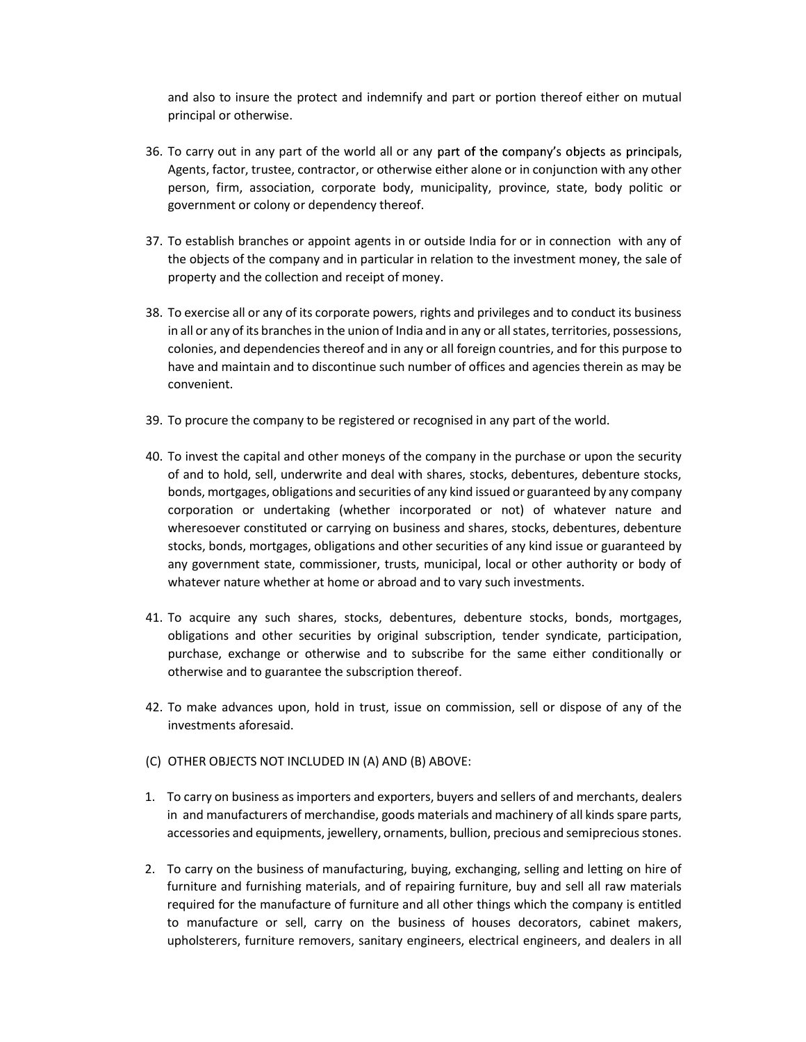and also to insure the protect and indemnify and part or portion thereof either on mutual principal or otherwise.

- 36. To carry out in any part of the world all or any part of the company's objects as principals, Agents, factor, trustee, contractor, or otherwise either alone or in conjunction with any other person, firm, association, corporate body, municipality, province, state, body politic or government or colony or dependency thereof.
- 37. To establish branches or appoint agents in or outside India for or in connection with any of the objects of the company and in particular in relation to the investment money, the sale of property and the collection and receipt of money.
- 38. To exercise all or any of its corporate powers, rights and privileges and to conduct its business in all or any of its branches in the union of India and in any or all states, territories, possessions, colonies, and dependencies thereof and in any or all foreign countries, and for this purpose to have and maintain and to discontinue such number of offices and agencies therein as may be convenient.
- 39. To procure the company to be registered or recognised in any part of the world.
- 40. To invest the capital and other moneys of the company in the purchase or upon the security of and to hold, sell, underwrite and deal with shares, stocks, debentures, debenture stocks, bonds, mortgages, obligations and securities of any kind issued or guaranteed by any company corporation or undertaking (whether incorporated or not) of whatever nature and wheresoever constituted or carrying on business and shares, stocks, debentures, debenture stocks, bonds, mortgages, obligations and other securities of any kind issue or guaranteed by any government state, commissioner, trusts, municipal, local or other authority or body of whatever nature whether at home or abroad and to vary such investments.
- 41. To acquire any such shares, stocks, debentures, debenture stocks, bonds, mortgages, obligations and other securities by original subscription, tender syndicate, participation, purchase, exchange or otherwise and to subscribe for the same either conditionally or otherwise and to guarantee the subscription thereof.
- 42. To make advances upon, hold in trust, issue on commission, sell or dispose of any of the investments aforesaid.
- (C) OTHER OBJECTS NOT INCLUDED IN (A) AND (B) ABOVE:
- 1. To carry on business as importers and exporters, buyers and sellers of and merchants, dealers in and manufacturers of merchandise, goods materials and machinery of all kinds spare parts, accessories and equipments, jewellery, ornaments, bullion, precious and semiprecious stones.
- 2. To carry on the business of manufacturing, buying, exchanging, selling and letting on hire of furniture and furnishing materials, and of repairing furniture, buy and sell all raw materials required for the manufacture of furniture and all other things which the company is entitled to manufacture or sell, carry on the business of houses decorators, cabinet makers, upholsterers, furniture removers, sanitary engineers, electrical engineers, and dealers in all